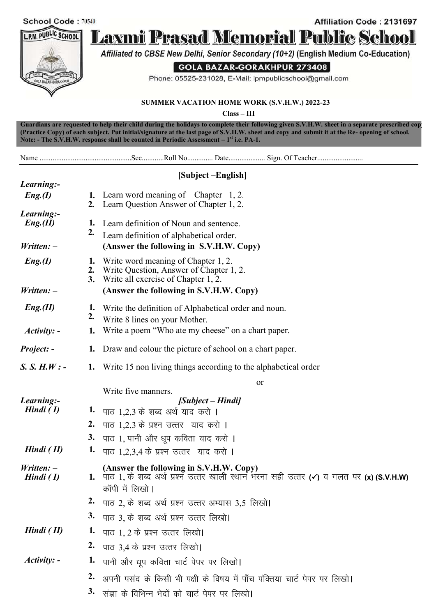School Code: 70540

Affiliation Code: 2131697



**Laxmi Prasad Memorial Public Schoo** Affiliated to CBSE New Delhi, Senior Secondary (10+2) (English Medium Co-Education)

## GOLA BAZAR-GORAKHPUR 273408

Phone: 05525-231028, E-Mail: Ipmpublicschool@gmail.com

## **SUMMER VACATION HOME WORK (S.V.H.W.) 2022-23**

**Class – III**

**Guardians are requested to help their child during the holidays to complete their following given S.V.H.W. sheet in a separate prescribed copy (Practice Copy) of each subject. Put initial/signature at the last page of S.V.H.W. sheet and copy and submit it at the Re- opening of school. Note: - The S.V.H.W. response shall be counted in Periodic Assessment – 1 st i.e. PA-1.**

|                           |                | [Subject-English]                                                                                                                                      |
|---------------------------|----------------|--------------------------------------------------------------------------------------------------------------------------------------------------------|
| Learning:-                |                |                                                                                                                                                        |
| Eng.(I)                   | 2.             | <b>1.</b> Learn word meaning of Chapter 1, 2.<br>Learn Question Answer of Chapter 1, 2.                                                                |
| Learning:-<br>Eng.(II)    | 1.<br>2.       | Learn definition of Noun and sentence.<br>Learn definition of alphabetical order.                                                                      |
| $Written: –$              |                | (Answer the following in S.V.H.W. Copy)                                                                                                                |
| Eng.(I)                   | 1.<br>2.<br>3. | Write word meaning of Chapter 1, 2.<br>Write Question, Answer of Chapter 1, 2.<br>Write all exercise of Chapter 1, 2.                                  |
| $Written: –$              |                | (Answer the following in S.V.H.W. Copy)                                                                                                                |
| Eng.(II)                  | 1.<br>2.       | Write the definition of Alphabetical order and noun.<br>Write 8 lines on your Mother.                                                                  |
| $Activity: -$             | 1.             | Write a poem "Who ate my cheese" on a chart paper.                                                                                                     |
| Project: -                | 1.             | Draw and colour the picture of school on a chart paper.                                                                                                |
| $S. S. H.W.$ :-           | 1.             | Write 15 non living things according to the alphabetical order                                                                                         |
|                           |                | or                                                                                                                                                     |
| Learning:-                |                | Write five manners.<br>[Subject – Hindi]                                                                                                               |
| Hindi $(I)$               |                | 1. पाठ 1,2,3 के शब्द अर्थ याद करो ।                                                                                                                    |
|                           |                | 2. पाठ 1,2,3 के प्रश्न उत्तर याद करो।                                                                                                                  |
|                           |                | 3. पाठ 1, पानी और धूप कविता याद करो।                                                                                                                   |
| Hindi (II)                | 1.             | पाठ 1,2,3,4 के प्रश्न उत्तर याद करो ।                                                                                                                  |
| $Written: –$<br>Hindi (I) |                | (Answer the following in S.V.H.W. Copy)<br>1.  पाठ 1, के शब्द अर्थ प्रश्न उत्तर खाली स्थान भरना सही उत्तर (v) व गलत पर (x) (S.V.H.W)<br>कॉपी में लिखो। |
|                           |                | 2. पाठ 2, के शब्द अर्थ प्रश्न उत्तर अभ्यास 3,5 लिखो।                                                                                                   |
|                           |                | <b>3.</b> पाठ 3, के शब्द अर्थ प्रश्न उत्तर लिखो।                                                                                                       |
| Hindi (II)                |                | <b>1.</b> पाठ 1, 2 के प्रश्न उत्तर लिखो।                                                                                                               |
|                           |                | 2. पाठ 3,4 के प्रश्न उत्तर लिखो।                                                                                                                       |
| $Activity: -$             |                | <sup>1.</sup> पानी और धूप कविता चार्ट पेपर पर लिखो।                                                                                                    |
|                           |                | 2. अपनी पसंद के किसी भी पक्षी के विषय में पाँच पंक्तिया चार्ट पेपर पर लिखो।                                                                            |
|                           |                | 3. संज्ञा के विभिन्न भेदों को चार्ट पेपर पर लिखो।                                                                                                      |
|                           |                |                                                                                                                                                        |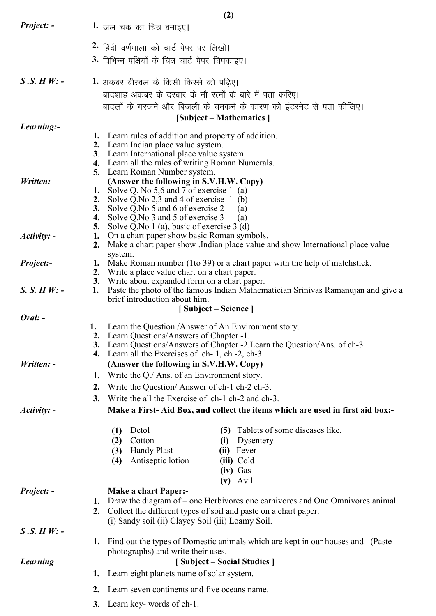|                 | (2)                                                                                                                     |
|-----------------|-------------------------------------------------------------------------------------------------------------------------|
| Project: -      | 1. जल चक्र का चित्र बनाइए।                                                                                              |
|                 | 2. हिंदी वर्णमाला को चार्ट पेपर पर लिखो।                                                                                |
|                 | 3. विभिन्न पक्षियों के चित्र चार्ट पेपर चिपकाइए।                                                                        |
|                 |                                                                                                                         |
| $S.S. H W: -$   | 1. अकबर बीरबल के किसी किस्से को पढ़िए।                                                                                  |
|                 | बादशाह अकबर के दरबार के नौ रत्नों के बारे में पता करिए।                                                                 |
|                 | बादलों के गरजने और बिजली के चमकने के कारण को इंटरनेट से पता कीजिए।                                                      |
|                 | [Subject – Mathematics]                                                                                                 |
| Learning:-      |                                                                                                                         |
|                 | Learn rules of addition and property of addition.<br>1.<br>Learn Indian place value system.<br>2.                       |
|                 | 3. Learn International place value system.                                                                              |
|                 | Learn all the rules of writing Roman Numerals.<br>4.                                                                    |
| $Written: -$    | Learn Roman Number system.<br>5.                                                                                        |
|                 | (Answer the following in S.V.H.W. Copy)<br>1. Solve Q. No 5,6 and 7 of exercise 1 (a)                                   |
|                 | Solve Q.No 2,3 and 4 of exercise $1$ (b)<br>2.                                                                          |
|                 | Solve Q.No 5 and 6 of exercise 2<br>3.<br>(a)                                                                           |
|                 | Solve Q.No 3 and 5 of exercise 3<br>(a)<br>4.<br>Solve Q.No 1 (a), basic of exercise $3$ (d)<br>5.                      |
| $Activity: -$   | On a chart paper show basic Roman symbols.<br>1.                                                                        |
|                 | Make a chart paper show . Indian place value and show International place value<br>2.                                   |
| Project:-       | system.<br>Make Roman number (1to 39) or a chart paper with the help of matchstick.<br>1.                               |
|                 | Write a place value chart on a chart paper.<br>2.                                                                       |
|                 | Write about expanded form on a chart paper.<br>3.                                                                       |
| $S. S. H W: -$  | Paste the photo of the famous Indian Mathematician Srinivas Ramanujan and give a<br>1.<br>brief introduction about him. |
|                 | [Subject – Science]                                                                                                     |
| Oral: -         |                                                                                                                         |
|                 | Learn the Question / Answer of An Environment story.<br>1.<br>Learn Questions/Answers of Chapter -1.<br>2.              |
|                 | Learn Questions/Answers of Chapter -2. Learn the Question/Ans. of ch-3<br>3.                                            |
|                 | Learn all the Exercises of ch-1, ch-2, ch-3.<br>4.                                                                      |
| Written: -      | (Answer the following in S.V.H.W. Copy)                                                                                 |
|                 | Write the Q./ Ans. of an Environment story.<br>1.                                                                       |
|                 | Write the Question/Answer of ch-1 ch-2 ch-3.<br>2.                                                                      |
|                 | Write the all the Exercise of ch-1 ch-2 and ch-3.<br>3.                                                                 |
| $Activity: -$   | Make a First-Aid Box, and collect the items which are used in first aid box:-                                           |
|                 | (5) Tablets of some diseases like.<br>Detol<br>(1)                                                                      |
|                 | Cotton<br>Dysentery<br>(2)<br>(i)                                                                                       |
|                 | <b>Handy Plast</b><br>(ii) Fever<br>(3)                                                                                 |
|                 | Antiseptic lotion<br>(iii) Cold<br>(4)                                                                                  |
|                 | (iv) Gas<br>$(v)$ Avil                                                                                                  |
| Project: -      | <b>Make a chart Paper:-</b>                                                                                             |
|                 | 1. Draw the diagram of – one Herbivores one carnivores and One Omnivores animal.                                        |
|                 | Collect the different types of soil and paste on a chart paper.<br>2.                                                   |
|                 | (i) Sandy soil (ii) Clayey Soil (iii) Loamy Soil.                                                                       |
| $S.S. H W: -$   | Find out the types of Domestic animals which are kept in our houses and (Paste-<br>1.                                   |
|                 | photographs) and write their uses.                                                                                      |
| <b>Learning</b> | [Subject – Social Studies]                                                                                              |
|                 | Learn eight planets name of solar system.<br>1.                                                                         |
|                 | Learn seven continents and five oceans name.<br>2.                                                                      |
|                 | $\mathbf{T}$ are not denote the second starts of $\mathbf{C}$ and $\mathbf{A}$                                          |

**3.** Learn key- words of ch-1.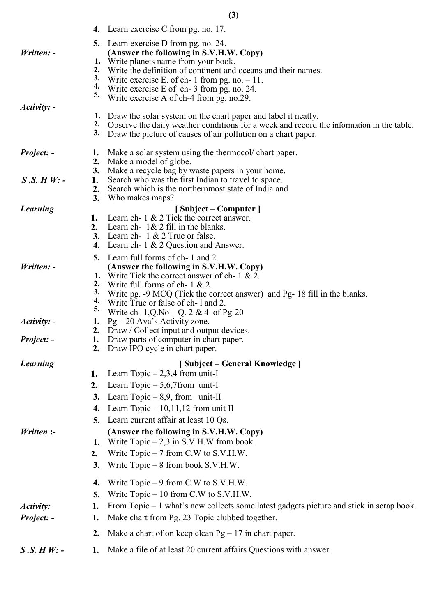|                   | 4. Learn exercise C from pg. no. 17.                                                                                                                                                                                                      |
|-------------------|-------------------------------------------------------------------------------------------------------------------------------------------------------------------------------------------------------------------------------------------|
| Written: -        | Learn exercise D from pg. no. 24.<br>5.<br>(Answer the following in S.V.H.W. Copy)<br>1. Write planets name from your book.                                                                                                               |
|                   | 2. Write the definition of continent and oceans and their names.<br>3. Write exercise E. of ch- 1 from pg. no. $-11$ .                                                                                                                    |
|                   | <sup>4</sup> . Write exercise E of ch- 3 from pg. no. 24.                                                                                                                                                                                 |
|                   | 5.<br>Write exercise A of ch-4 from pg. no.29.                                                                                                                                                                                            |
| $Activity: -$     |                                                                                                                                                                                                                                           |
|                   | Draw the solar system on the chart paper and label it neatly.<br>1.<br>2. Observe the daily weather conditions for a week and record the information in the table.<br>3.<br>Draw the picture of causes of air pollution on a chart paper. |
| <b>Project: -</b> | Make a solar system using the thermocol/ chart paper.<br>1.<br>2.<br>Make a model of globe.                                                                                                                                               |
|                   | 3.<br>Make a recycle bag by waste papers in your home.                                                                                                                                                                                    |
| $S.S. H W: -$     | Search who was the first Indian to travel to space.<br>1.<br>Search which is the northernmost state of India and<br>2.                                                                                                                    |
|                   | 3.<br>Who makes maps?                                                                                                                                                                                                                     |
| <b>Learning</b>   | [Subject – Computer]                                                                                                                                                                                                                      |
|                   | Learn ch- $1 \& 2$ Tick the correct answer.<br>1.                                                                                                                                                                                         |
|                   | Learn ch- $1 & 2$ fill in the blanks.<br>2.<br>Learn ch- $1 \& 2$ True or false.<br>3.                                                                                                                                                    |
|                   | Learn ch- $1 \& 2$ Question and Answer.<br>4.                                                                                                                                                                                             |
|                   | Learn full forms of ch- 1 and 2.<br>5.                                                                                                                                                                                                    |
| Written: -        | (Answer the following in S.V.H.W. Copy)                                                                                                                                                                                                   |
|                   | 1. Write Tick the correct answer of ch- $1 \& 2$ .                                                                                                                                                                                        |
|                   | 2. Write full forms of ch- $1 \& 2$ .<br>3.<br>Write pg. -9 MCQ (Tick the correct answer) and Pg- 18 fill in the blanks.                                                                                                                  |
|                   | 4.<br>Write True or false of ch-1 and 2.                                                                                                                                                                                                  |
|                   | 5.<br>Write ch- $1, Q$ . No – Q. 2 & 4 of Pg-20                                                                                                                                                                                           |
| $Activity: -$     | $Pg - 20$ Ava's Activity zone.<br>1.<br>2. Draw / Collect input and output devices.                                                                                                                                                       |
| Project: -        | 1.<br>Draw parts of computer in chart paper.                                                                                                                                                                                              |
|                   | 2.<br>Draw IPO cycle in chart paper.                                                                                                                                                                                                      |
| <b>Learning</b>   | [Subject – General Knowledge]                                                                                                                                                                                                             |
|                   | Learn Topic $-2,3,4$ from unit-I<br>1.                                                                                                                                                                                                    |
|                   | Learn Topic $-5,6,7$ from unit-I<br>2.                                                                                                                                                                                                    |
|                   | Learn Topic $-8,9$ , from unit-II<br>3.                                                                                                                                                                                                   |
|                   | Learn Topic $-10,11,12$ from unit II<br>4.                                                                                                                                                                                                |
|                   | Learn current affair at least 10 Qs.<br>5.                                                                                                                                                                                                |
| Written :-        | (Answer the following in S.V.H.W. Copy)                                                                                                                                                                                                   |
|                   | Write Topic $-2,3$ in S.V.H.W from book.<br>1.                                                                                                                                                                                            |
|                   | Write Topic $-7$ from C.W to S.V.H.W.<br>2.                                                                                                                                                                                               |
|                   | Write Topic - 8 from book S.V.H.W.<br>3.                                                                                                                                                                                                  |
|                   | Write Topic $-9$ from C.W to S.V.H.W.<br>4.                                                                                                                                                                                               |
|                   | Write Topic $-10$ from C.W to S.V.H.W.<br>5.                                                                                                                                                                                              |
| Activity:         | From Topic $-1$ what's new collects some latest gadgets picture and stick in scrap book.<br>1.                                                                                                                                            |
| Project: -        | Make chart from Pg. 23 Topic clubbed together.<br>1.                                                                                                                                                                                      |
|                   | Make a chart of on keep clean $Pg - 17$ in chart paper.<br>2.                                                                                                                                                                             |
| $S.S. H W: -$     | Make a file of at least 20 current affairs Questions with answer.<br>1.                                                                                                                                                                   |

 **(3)**